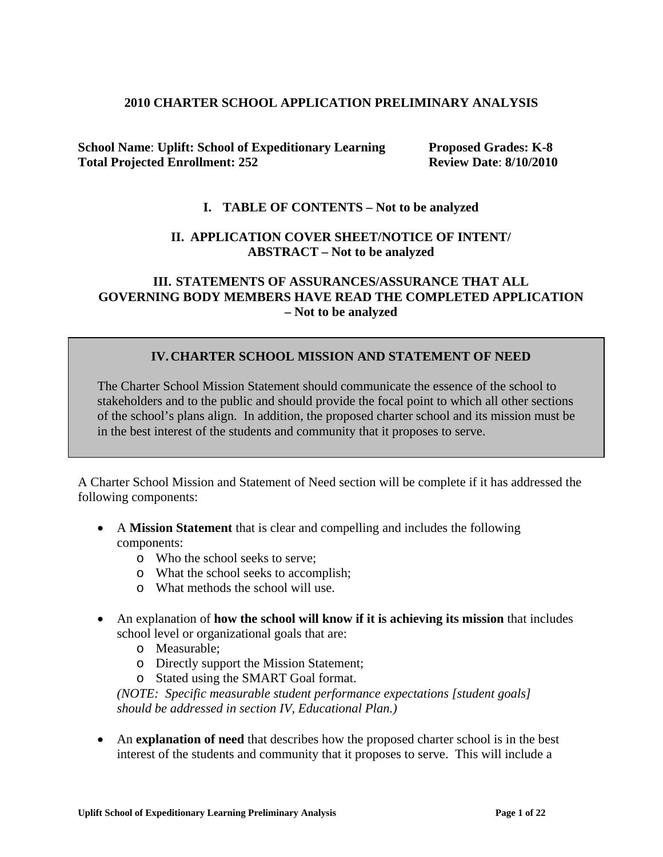#### **2010 CHARTER SCHOOL APPLICATION PRELIMINARY ANALYSIS**

**School Name: Uplift: School of Expeditionary Learning Proposed Grades: K-8 Total Projected Enrollment: 252 Review Date**: **8/10/2010**

#### **I. TABLE OF CONTENTS – Not to be analyzed**

#### **II. APPLICATION COVER SHEET/NOTICE OF INTENT/ ABSTRACT – Not to be analyzed**

#### **III. STATEMENTS OF ASSURANCES/ASSURANCE THAT ALL GOVERNING BODY MEMBERS HAVE READ THE COMPLETED APPLICATION – Not to be analyzed**

### **IV.CHARTER SCHOOL MISSION AND STATEMENT OF NEED**

The Charter School Mission Statement should communicate the essence of the school to stakeholders and to the public and should provide the focal point to which all other sections of the school's plans align. In addition, the proposed charter school and its mission must be in the best interest of the students and community that it proposes to serve.

A Charter School Mission and Statement of Need section will be complete if it has addressed the following components:

- A **Mission Statement** that is clear and compelling and includes the following components:
	- o Who the school seeks to serve;
	- o What the school seeks to accomplish;
	- o What methods the school will use.
- An explanation of **how the school will know if it is achieving its mission** that includes school level or organizational goals that are:
	- o Measurable;
	- o Directly support the Mission Statement;
	- o Stated using the SMART Goal format.

*(NOTE: Specific measurable student performance expectations [student goals] should be addressed in section IV, Educational Plan.)*

• An **explanation of need** that describes how the proposed charter school is in the best interest of the students and community that it proposes to serve. This will include a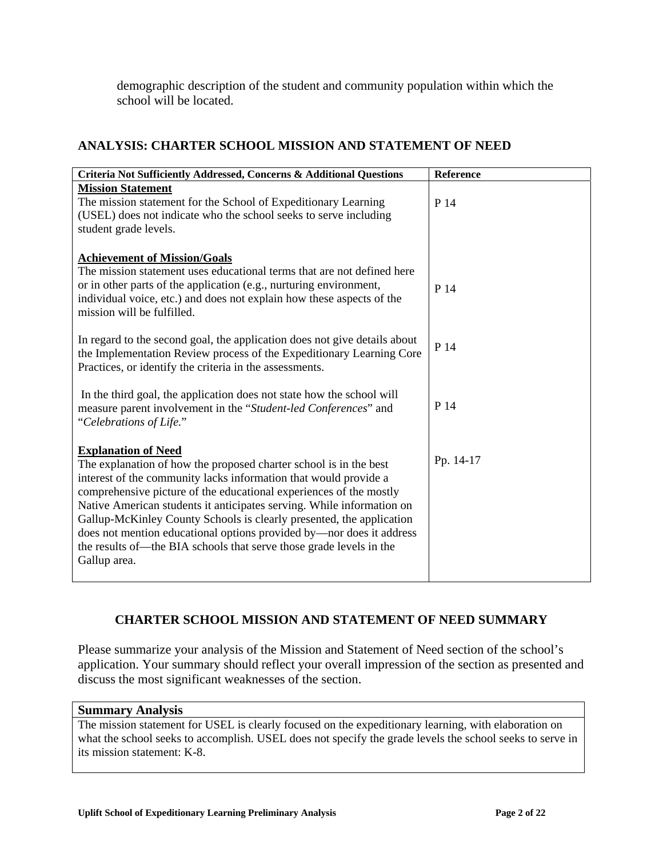demographic description of the student and community population within which the school will be located.

## **ANALYSIS: CHARTER SCHOOL MISSION AND STATEMENT OF NEED**

| Criteria Not Sufficiently Addressed, Concerns & Additional Questions                                                                                                                                                                                                                                                                                                                                                                                                                                                                                      | Reference |
|-----------------------------------------------------------------------------------------------------------------------------------------------------------------------------------------------------------------------------------------------------------------------------------------------------------------------------------------------------------------------------------------------------------------------------------------------------------------------------------------------------------------------------------------------------------|-----------|
| <b>Mission Statement</b><br>The mission statement for the School of Expeditionary Learning<br>(USEL) does not indicate who the school seeks to serve including<br>student grade levels.                                                                                                                                                                                                                                                                                                                                                                   | P 14      |
| <b>Achievement of Mission/Goals</b><br>The mission statement uses educational terms that are not defined here<br>or in other parts of the application (e.g., nurturing environment,<br>individual voice, etc.) and does not explain how these aspects of the<br>mission will be fulfilled.                                                                                                                                                                                                                                                                | P 14      |
| In regard to the second goal, the application does not give details about<br>the Implementation Review process of the Expeditionary Learning Core<br>Practices, or identify the criteria in the assessments.                                                                                                                                                                                                                                                                                                                                              | P 14      |
| In the third goal, the application does not state how the school will<br>measure parent involvement in the "Student-led Conferences" and<br>"Celebrations of Life."                                                                                                                                                                                                                                                                                                                                                                                       | P 14      |
| <b>Explanation of Need</b><br>The explanation of how the proposed charter school is in the best<br>interest of the community lacks information that would provide a<br>comprehensive picture of the educational experiences of the mostly<br>Native American students it anticipates serving. While information on<br>Gallup-McKinley County Schools is clearly presented, the application<br>does not mention educational options provided by—nor does it address<br>the results of—the BIA schools that serve those grade levels in the<br>Gallup area. | Pp. 14-17 |

# **CHARTER SCHOOL MISSION AND STATEMENT OF NEED SUMMARY**

Please summarize your analysis of the Mission and Statement of Need section of the school's application. Your summary should reflect your overall impression of the section as presented and discuss the most significant weaknesses of the section.

#### **Summary Analysis**

The mission statement for USEL is clearly focused on the expeditionary learning, with elaboration on what the school seeks to accomplish. USEL does not specify the grade levels the school seeks to serve in its mission statement: K-8.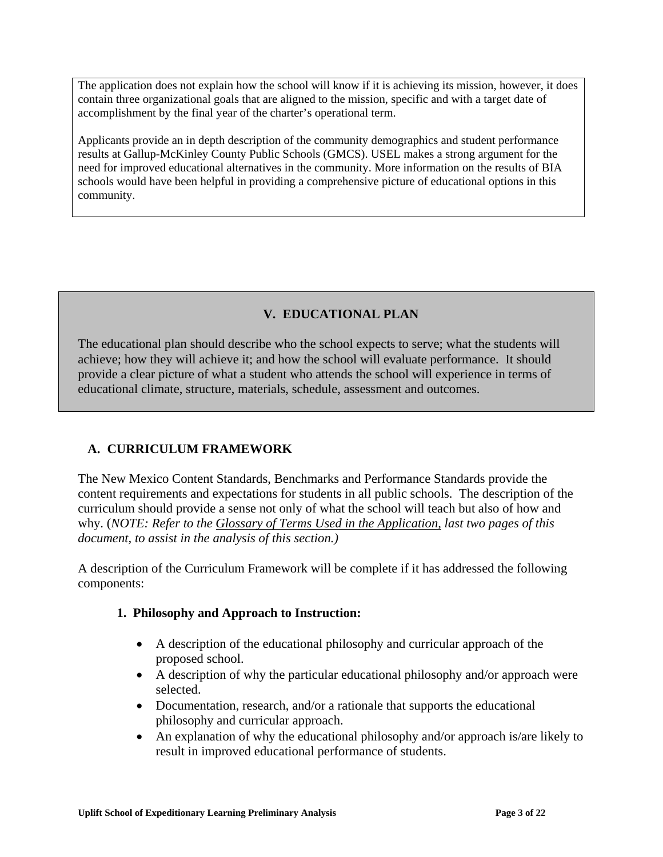The application does not explain how the school will know if it is achieving its mission, however, it does contain three organizational goals that are aligned to the mission, specific and with a target date of accomplishment by the final year of the charter's operational term.

Applicants provide an in depth description of the community demographics and student performance results at Gallup-McKinley County Public Schools (GMCS). USEL makes a strong argument for the need for improved educational alternatives in the community. More information on the results of BIA schools would have been helpful in providing a comprehensive picture of educational options in this community.

## **V. EDUCATIONAL PLAN**

The educational plan should describe who the school expects to serve; what the students will achieve; how they will achieve it; and how the school will evaluate performance. It should provide a clear picture of what a student who attends the school will experience in terms of educational climate, structure, materials, schedule, assessment and outcomes.

# **A. CURRICULUM FRAMEWORK**

The New Mexico Content Standards, Benchmarks and Performance Standards provide the content requirements and expectations for students in all public schools. The description of the curriculum should provide a sense not only of what the school will teach but also of how and why. (*NOTE: Refer to the Glossary of Terms Used in the Application, last two pages of this document, to assist in the analysis of this section.)*

A description of the Curriculum Framework will be complete if it has addressed the following components:

#### **1. Philosophy and Approach to Instruction:**

- A description of the educational philosophy and curricular approach of the proposed school.
- A description of why the particular educational philosophy and/or approach were selected.
- Documentation, research, and/or a rationale that supports the educational philosophy and curricular approach.
- An explanation of why the educational philosophy and/or approach is/are likely to result in improved educational performance of students.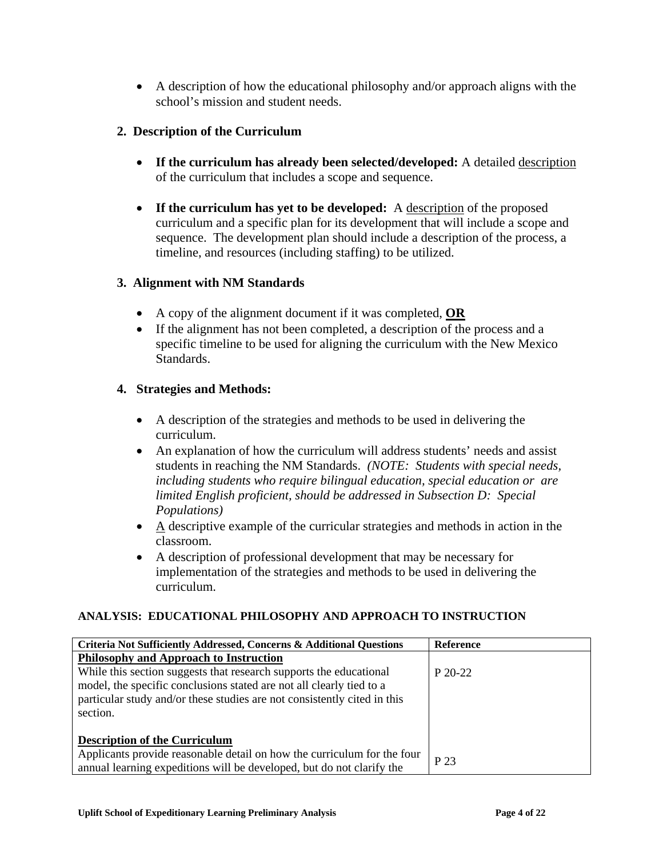• A description of how the educational philosophy and/or approach aligns with the school's mission and student needs.

## **2. Description of the Curriculum**

- **If the curriculum has already been selected/developed:** A detailed description of the curriculum that includes a scope and sequence.
- **If the curriculum has yet to be developed:** A description of the proposed curriculum and a specific plan for its development that will include a scope and sequence. The development plan should include a description of the process, a timeline, and resources (including staffing) to be utilized.

## **3. Alignment with NM Standards**

- A copy of the alignment document if it was completed, **OR**
- If the alignment has not been completed, a description of the process and a specific timeline to be used for aligning the curriculum with the New Mexico Standards.

## **4. Strategies and Methods:**

- A description of the strategies and methods to be used in delivering the curriculum.
- An explanation of how the curriculum will address students' needs and assist students in reaching the NM Standards. *(NOTE: Students with special needs, including students who require bilingual education, special education or are limited English proficient, should be addressed in Subsection D: Special Populations)*
- A descriptive example of the curricular strategies and methods in action in the classroom.
- A description of professional development that may be necessary for implementation of the strategies and methods to be used in delivering the curriculum.

## **ANALYSIS: EDUCATIONAL PHILOSOPHY AND APPROACH TO INSTRUCTION**

| Criteria Not Sufficiently Addressed, Concerns & Additional Questions     | Reference |
|--------------------------------------------------------------------------|-----------|
| <b>Philosophy and Approach to Instruction</b>                            |           |
| While this section suggests that research supports the educational       | $P 20-22$ |
| model, the specific conclusions stated are not all clearly tied to a     |           |
| particular study and/or these studies are not consistently cited in this |           |
| section.                                                                 |           |
|                                                                          |           |
| <b>Description of the Curriculum</b>                                     |           |
| Applicants provide reasonable detail on how the curriculum for the four  | P 23      |
| annual learning expeditions will be developed, but do not clarify the    |           |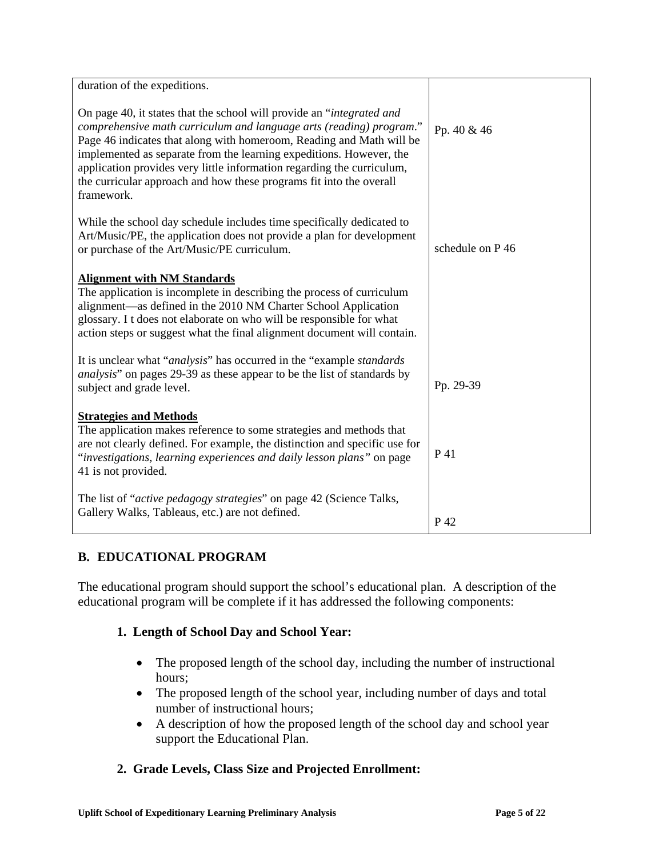| duration of the expeditions.                                                                                                                                                                                                                                                                                                                                                                                                                               |                  |
|------------------------------------------------------------------------------------------------------------------------------------------------------------------------------------------------------------------------------------------------------------------------------------------------------------------------------------------------------------------------------------------------------------------------------------------------------------|------------------|
| On page 40, it states that the school will provide an "integrated and<br>comprehensive math curriculum and language arts (reading) program."<br>Page 46 indicates that along with homeroom, Reading and Math will be<br>implemented as separate from the learning expeditions. However, the<br>application provides very little information regarding the curriculum,<br>the curricular approach and how these programs fit into the overall<br>framework. | Pp. 40 & 46      |
| While the school day schedule includes time specifically dedicated to<br>Art/Music/PE, the application does not provide a plan for development<br>or purchase of the Art/Music/PE curriculum.                                                                                                                                                                                                                                                              | schedule on P 46 |
| <b>Alignment with NM Standards</b><br>The application is incomplete in describing the process of curriculum<br>alignment—as defined in the 2010 NM Charter School Application<br>glossary. I t does not elaborate on who will be responsible for what<br>action steps or suggest what the final alignment document will contain.                                                                                                                           |                  |
| It is unclear what " <i>analysis</i> " has occurred in the "example <i>standards</i> "<br><i>analysis</i> " on pages 29-39 as these appear to be the list of standards by<br>subject and grade level.                                                                                                                                                                                                                                                      | Pp. 29-39        |
| <b>Strategies and Methods</b><br>The application makes reference to some strategies and methods that<br>are not clearly defined. For example, the distinction and specific use for<br>"investigations, learning experiences and daily lesson plans" on page<br>41 is not provided.                                                                                                                                                                         | P 41             |
| The list of " <i>active pedagogy strategies</i> " on page 42 (Science Talks,<br>Gallery Walks, Tableaus, etc.) are not defined.                                                                                                                                                                                                                                                                                                                            | P 42             |

# **B. EDUCATIONAL PROGRAM**

The educational program should support the school's educational plan. A description of the educational program will be complete if it has addressed the following components:

# **1. Length of School Day and School Year:**

- The proposed length of the school day, including the number of instructional hours;
- The proposed length of the school year, including number of days and total number of instructional hours;
- A description of how the proposed length of the school day and school year support the Educational Plan.

# **2. Grade Levels, Class Size and Projected Enrollment:**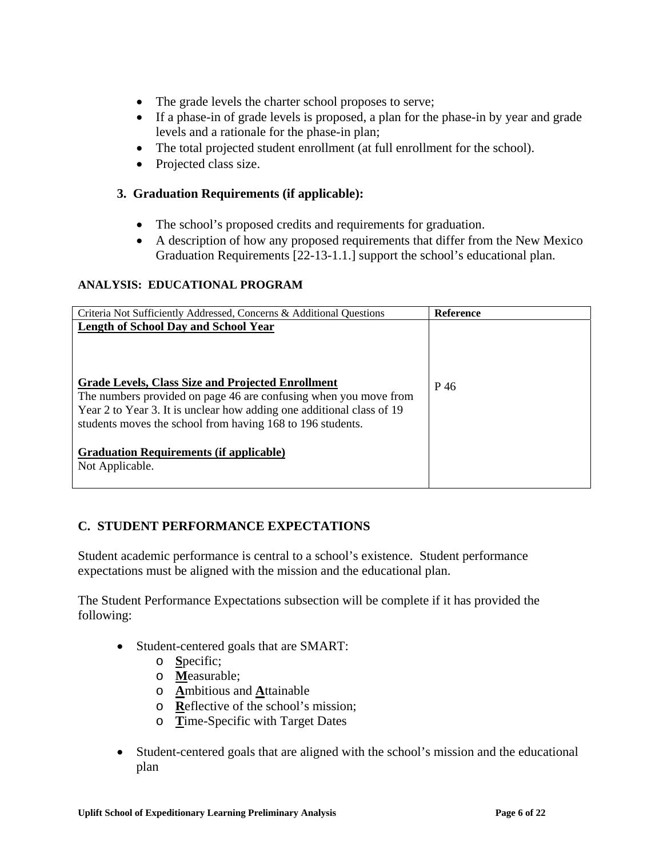- The grade levels the charter school proposes to serve;
- If a phase-in of grade levels is proposed, a plan for the phase-in by year and grade levels and a rationale for the phase-in plan;
- The total projected student enrollment (at full enrollment for the school).
- Projected class size.

## **3. Graduation Requirements (if applicable):**

- The school's proposed credits and requirements for graduation.
- A description of how any proposed requirements that differ from the New Mexico Graduation Requirements [22-13-1.1.] support the school's educational plan.

## **ANALYSIS: EDUCATIONAL PROGRAM**

| Criteria Not Sufficiently Addressed, Concerns & Additional Questions                                                                                                                                                                                                                                        | <b>Reference</b> |
|-------------------------------------------------------------------------------------------------------------------------------------------------------------------------------------------------------------------------------------------------------------------------------------------------------------|------------------|
| <b>Length of School Day and School Year</b><br>Grade Levels, Class Size and Projected Enrollment<br>The numbers provided on page 46 are confusing when you move from<br>Year 2 to Year 3. It is unclear how adding one additional class of 19<br>students moves the school from having 168 to 196 students. | P 46             |
| <b>Graduation Requirements (if applicable)</b><br>Not Applicable.                                                                                                                                                                                                                                           |                  |

## **C. STUDENT PERFORMANCE EXPECTATIONS**

Student academic performance is central to a school's existence. Student performance expectations must be aligned with the mission and the educational plan.

The Student Performance Expectations subsection will be complete if it has provided the following:

- Student-centered goals that are SMART:
	- o **S**pecific;
	- o **M**easurable;
	- o **A**mbitious and **A**ttainable
	- o **R**eflective of the school's mission;
	- o **T**ime-Specific with Target Dates
- Student-centered goals that are aligned with the school's mission and the educational plan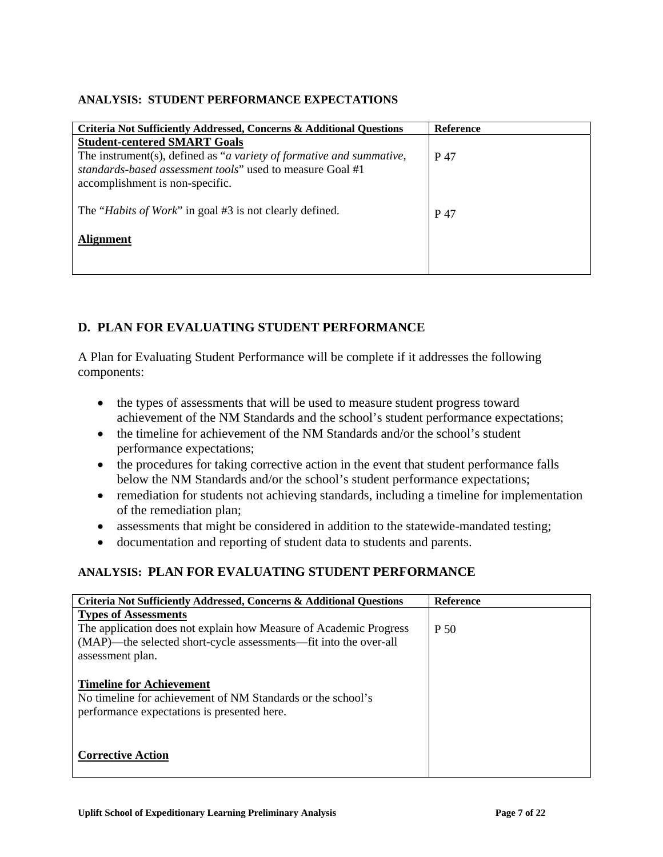#### **ANALYSIS: STUDENT PERFORMANCE EXPECTATIONS**

| Reference |
|-----------|
|           |
| P 47      |
| P 47      |
|           |
|           |

## **D. PLAN FOR EVALUATING STUDENT PERFORMANCE**

A Plan for Evaluating Student Performance will be complete if it addresses the following components:

- the types of assessments that will be used to measure student progress toward achievement of the NM Standards and the school's student performance expectations;
- the timeline for achievement of the NM Standards and/or the school's student performance expectations;
- the procedures for taking corrective action in the event that student performance falls below the NM Standards and/or the school's student performance expectations;
- remediation for students not achieving standards, including a timeline for implementation of the remediation plan;
- assessments that might be considered in addition to the statewide-mandated testing;
- documentation and reporting of student data to students and parents.

## **ANALYSIS: PLAN FOR EVALUATING STUDENT PERFORMANCE**

| <b>Criteria Not Sufficiently Addressed, Concerns &amp; Additional Questions</b> | <b>Reference</b> |
|---------------------------------------------------------------------------------|------------------|
| <b>Types of Assessments</b>                                                     |                  |
| The application does not explain how Measure of Academic Progress               | P 50             |
| (MAP)—the selected short-cycle assessments—fit into the over-all                |                  |
| assessment plan.                                                                |                  |
|                                                                                 |                  |
| <b>Timeline for Achievement</b>                                                 |                  |
| No timeline for achievement of NM Standards or the school's                     |                  |
| performance expectations is presented here.                                     |                  |
|                                                                                 |                  |
|                                                                                 |                  |
| <b>Corrective Action</b>                                                        |                  |
|                                                                                 |                  |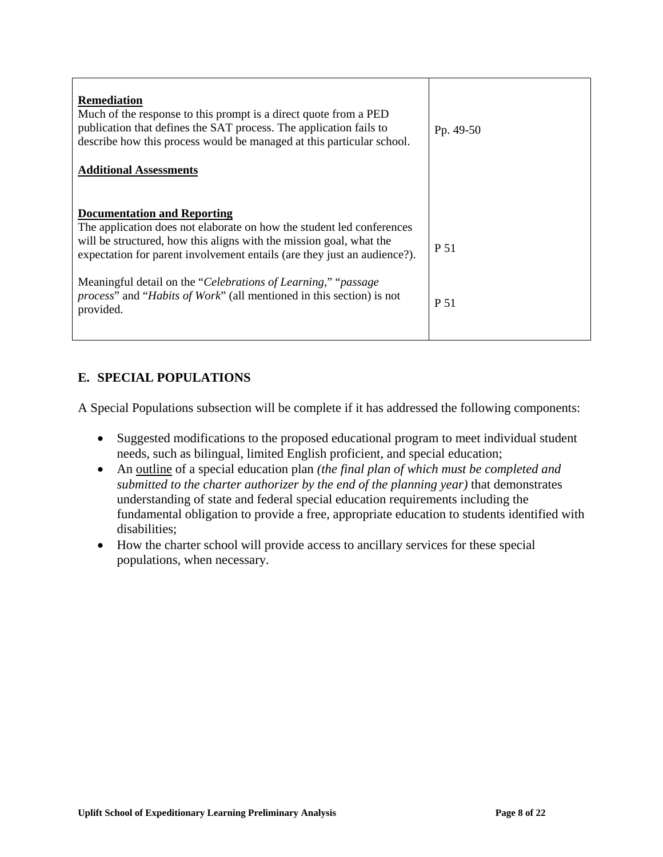| <b>Remediation</b><br>Much of the response to this prompt is a direct quote from a PED<br>publication that defines the SAT process. The application fails to<br>describe how this process would be managed at this particular school.<br><b>Additional Assessments</b> | Pp. 49-50 |
|------------------------------------------------------------------------------------------------------------------------------------------------------------------------------------------------------------------------------------------------------------------------|-----------|
| <b>Documentation and Reporting</b><br>The application does not elaborate on how the student led conferences<br>will be structured, how this aligns with the mission goal, what the<br>expectation for parent involvement entails (are they just an audience?).         | P 51      |
| Meaningful detail on the "Celebrations of Learning," "passage"<br><i>process</i> " and " <i>Habits of Work</i> " (all mentioned in this section) is not<br>provided.                                                                                                   | P 51      |

# **E. SPECIAL POPULATIONS**

A Special Populations subsection will be complete if it has addressed the following components:

- Suggested modifications to the proposed educational program to meet individual student needs, such as bilingual, limited English proficient, and special education;
- An outline of a special education plan *(the final plan of which must be completed and submitted to the charter authorizer by the end of the planning year)* that demonstrates understanding of state and federal special education requirements including the fundamental obligation to provide a free, appropriate education to students identified with disabilities;
- How the charter school will provide access to ancillary services for these special populations, when necessary.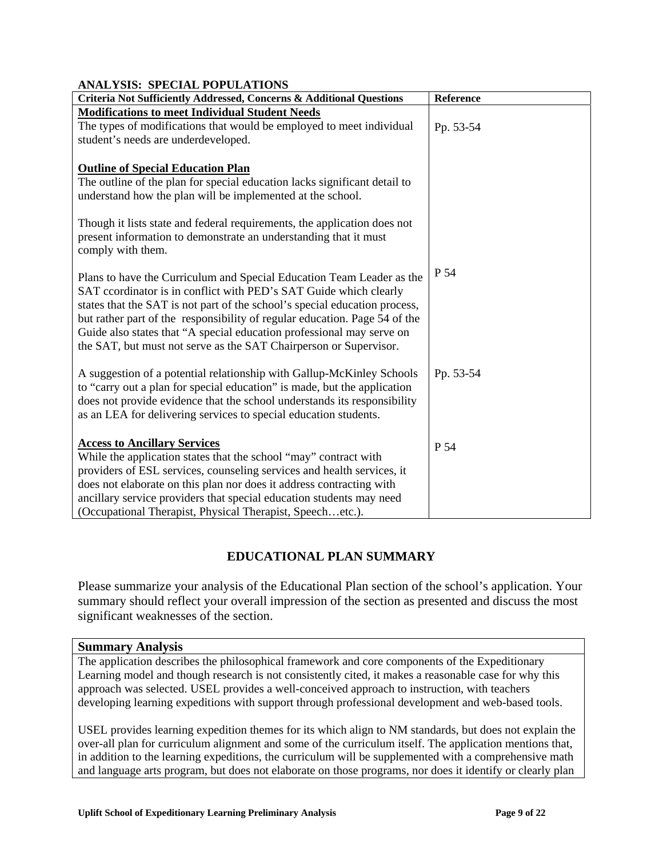| <b>Modifications to meet Individual Student Needs</b><br>The types of modifications that would be employed to meet individual<br>Pp. 53-54<br>student's needs are underdeveloped.<br><b>Outline of Special Education Plan</b><br>The outline of the plan for special education lacks significant detail to<br>understand how the plan will be implemented at the school.<br>Though it lists state and federal requirements, the application does not<br>present information to demonstrate an understanding that it must<br>comply with them.<br>P 54<br>Plans to have the Curriculum and Special Education Team Leader as the<br>SAT ccordinator is in conflict with PED's SAT Guide which clearly<br>states that the SAT is not part of the school's special education process,<br>but rather part of the responsibility of regular education. Page 54 of the<br>Guide also states that "A special education professional may serve on<br>the SAT, but must not serve as the SAT Chairperson or Supervisor.<br>A suggestion of a potential relationship with Gallup-McKinley Schools<br>Pp. 53-54<br>to "carry out a plan for special education" is made, but the application<br>does not provide evidence that the school understands its responsibility<br>as an LEA for delivering services to special education students.<br><b>Access to Ancillary Services</b><br>P 54<br>While the application states that the school "may" contract with<br>providers of ESL services, counseling services and health services, it | Criteria Not Sufficiently Addressed, Concerns & Additional Questions | Reference |
|------------------------------------------------------------------------------------------------------------------------------------------------------------------------------------------------------------------------------------------------------------------------------------------------------------------------------------------------------------------------------------------------------------------------------------------------------------------------------------------------------------------------------------------------------------------------------------------------------------------------------------------------------------------------------------------------------------------------------------------------------------------------------------------------------------------------------------------------------------------------------------------------------------------------------------------------------------------------------------------------------------------------------------------------------------------------------------------------------------------------------------------------------------------------------------------------------------------------------------------------------------------------------------------------------------------------------------------------------------------------------------------------------------------------------------------------------------------------------------------------------------------------------|----------------------------------------------------------------------|-----------|
|                                                                                                                                                                                                                                                                                                                                                                                                                                                                                                                                                                                                                                                                                                                                                                                                                                                                                                                                                                                                                                                                                                                                                                                                                                                                                                                                                                                                                                                                                                                              |                                                                      |           |
|                                                                                                                                                                                                                                                                                                                                                                                                                                                                                                                                                                                                                                                                                                                                                                                                                                                                                                                                                                                                                                                                                                                                                                                                                                                                                                                                                                                                                                                                                                                              |                                                                      |           |
|                                                                                                                                                                                                                                                                                                                                                                                                                                                                                                                                                                                                                                                                                                                                                                                                                                                                                                                                                                                                                                                                                                                                                                                                                                                                                                                                                                                                                                                                                                                              |                                                                      |           |
|                                                                                                                                                                                                                                                                                                                                                                                                                                                                                                                                                                                                                                                                                                                                                                                                                                                                                                                                                                                                                                                                                                                                                                                                                                                                                                                                                                                                                                                                                                                              |                                                                      |           |
|                                                                                                                                                                                                                                                                                                                                                                                                                                                                                                                                                                                                                                                                                                                                                                                                                                                                                                                                                                                                                                                                                                                                                                                                                                                                                                                                                                                                                                                                                                                              |                                                                      |           |
|                                                                                                                                                                                                                                                                                                                                                                                                                                                                                                                                                                                                                                                                                                                                                                                                                                                                                                                                                                                                                                                                                                                                                                                                                                                                                                                                                                                                                                                                                                                              |                                                                      |           |
|                                                                                                                                                                                                                                                                                                                                                                                                                                                                                                                                                                                                                                                                                                                                                                                                                                                                                                                                                                                                                                                                                                                                                                                                                                                                                                                                                                                                                                                                                                                              |                                                                      |           |
|                                                                                                                                                                                                                                                                                                                                                                                                                                                                                                                                                                                                                                                                                                                                                                                                                                                                                                                                                                                                                                                                                                                                                                                                                                                                                                                                                                                                                                                                                                                              |                                                                      |           |
|                                                                                                                                                                                                                                                                                                                                                                                                                                                                                                                                                                                                                                                                                                                                                                                                                                                                                                                                                                                                                                                                                                                                                                                                                                                                                                                                                                                                                                                                                                                              |                                                                      |           |
|                                                                                                                                                                                                                                                                                                                                                                                                                                                                                                                                                                                                                                                                                                                                                                                                                                                                                                                                                                                                                                                                                                                                                                                                                                                                                                                                                                                                                                                                                                                              |                                                                      |           |
|                                                                                                                                                                                                                                                                                                                                                                                                                                                                                                                                                                                                                                                                                                                                                                                                                                                                                                                                                                                                                                                                                                                                                                                                                                                                                                                                                                                                                                                                                                                              |                                                                      |           |
|                                                                                                                                                                                                                                                                                                                                                                                                                                                                                                                                                                                                                                                                                                                                                                                                                                                                                                                                                                                                                                                                                                                                                                                                                                                                                                                                                                                                                                                                                                                              |                                                                      |           |
|                                                                                                                                                                                                                                                                                                                                                                                                                                                                                                                                                                                                                                                                                                                                                                                                                                                                                                                                                                                                                                                                                                                                                                                                                                                                                                                                                                                                                                                                                                                              |                                                                      |           |
|                                                                                                                                                                                                                                                                                                                                                                                                                                                                                                                                                                                                                                                                                                                                                                                                                                                                                                                                                                                                                                                                                                                                                                                                                                                                                                                                                                                                                                                                                                                              |                                                                      |           |
|                                                                                                                                                                                                                                                                                                                                                                                                                                                                                                                                                                                                                                                                                                                                                                                                                                                                                                                                                                                                                                                                                                                                                                                                                                                                                                                                                                                                                                                                                                                              |                                                                      |           |
|                                                                                                                                                                                                                                                                                                                                                                                                                                                                                                                                                                                                                                                                                                                                                                                                                                                                                                                                                                                                                                                                                                                                                                                                                                                                                                                                                                                                                                                                                                                              |                                                                      |           |
|                                                                                                                                                                                                                                                                                                                                                                                                                                                                                                                                                                                                                                                                                                                                                                                                                                                                                                                                                                                                                                                                                                                                                                                                                                                                                                                                                                                                                                                                                                                              |                                                                      |           |
|                                                                                                                                                                                                                                                                                                                                                                                                                                                                                                                                                                                                                                                                                                                                                                                                                                                                                                                                                                                                                                                                                                                                                                                                                                                                                                                                                                                                                                                                                                                              |                                                                      |           |
|                                                                                                                                                                                                                                                                                                                                                                                                                                                                                                                                                                                                                                                                                                                                                                                                                                                                                                                                                                                                                                                                                                                                                                                                                                                                                                                                                                                                                                                                                                                              |                                                                      |           |
|                                                                                                                                                                                                                                                                                                                                                                                                                                                                                                                                                                                                                                                                                                                                                                                                                                                                                                                                                                                                                                                                                                                                                                                                                                                                                                                                                                                                                                                                                                                              |                                                                      |           |
|                                                                                                                                                                                                                                                                                                                                                                                                                                                                                                                                                                                                                                                                                                                                                                                                                                                                                                                                                                                                                                                                                                                                                                                                                                                                                                                                                                                                                                                                                                                              |                                                                      |           |
|                                                                                                                                                                                                                                                                                                                                                                                                                                                                                                                                                                                                                                                                                                                                                                                                                                                                                                                                                                                                                                                                                                                                                                                                                                                                                                                                                                                                                                                                                                                              |                                                                      |           |
|                                                                                                                                                                                                                                                                                                                                                                                                                                                                                                                                                                                                                                                                                                                                                                                                                                                                                                                                                                                                                                                                                                                                                                                                                                                                                                                                                                                                                                                                                                                              |                                                                      |           |
|                                                                                                                                                                                                                                                                                                                                                                                                                                                                                                                                                                                                                                                                                                                                                                                                                                                                                                                                                                                                                                                                                                                                                                                                                                                                                                                                                                                                                                                                                                                              |                                                                      |           |
|                                                                                                                                                                                                                                                                                                                                                                                                                                                                                                                                                                                                                                                                                                                                                                                                                                                                                                                                                                                                                                                                                                                                                                                                                                                                                                                                                                                                                                                                                                                              |                                                                      |           |
|                                                                                                                                                                                                                                                                                                                                                                                                                                                                                                                                                                                                                                                                                                                                                                                                                                                                                                                                                                                                                                                                                                                                                                                                                                                                                                                                                                                                                                                                                                                              |                                                                      |           |
| does not elaborate on this plan nor does it address contracting with<br>ancillary service providers that special education students may need                                                                                                                                                                                                                                                                                                                                                                                                                                                                                                                                                                                                                                                                                                                                                                                                                                                                                                                                                                                                                                                                                                                                                                                                                                                                                                                                                                                 |                                                                      |           |
| (Occupational Therapist, Physical Therapist, Speechetc.).                                                                                                                                                                                                                                                                                                                                                                                                                                                                                                                                                                                                                                                                                                                                                                                                                                                                                                                                                                                                                                                                                                                                                                                                                                                                                                                                                                                                                                                                    |                                                                      |           |

#### **ANALYSIS: SPECIAL POPULATIONS**

## **EDUCATIONAL PLAN SUMMARY**

Please summarize your analysis of the Educational Plan section of the school's application. Your summary should reflect your overall impression of the section as presented and discuss the most significant weaknesses of the section.

#### **Summary Analysis**

The application describes the philosophical framework and core components of the Expeditionary Learning model and though research is not consistently cited, it makes a reasonable case for why this approach was selected. USEL provides a well-conceived approach to instruction, with teachers developing learning expeditions with support through professional development and web-based tools.

USEL provides learning expedition themes for its which align to NM standards, but does not explain the over-all plan for curriculum alignment and some of the curriculum itself. The application mentions that, in addition to the learning expeditions, the curriculum will be supplemented with a comprehensive math and language arts program, but does not elaborate on those programs, nor does it identify or clearly plan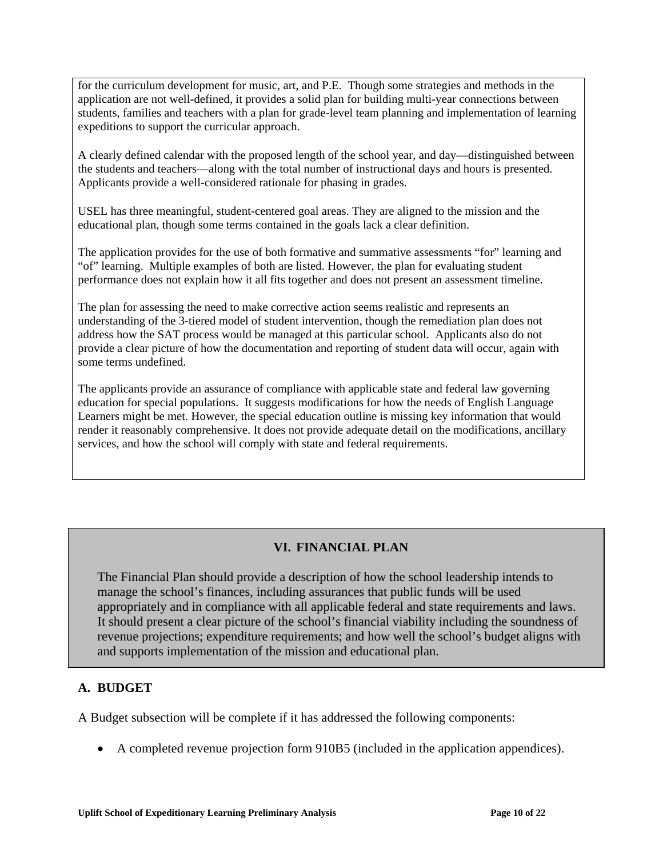for the curriculum development for music, art, and P.E. Though some strategies and methods in the application are not well-defined, it provides a solid plan for building multi-year connections between students, families and teachers with a plan for grade-level team planning and implementation of learning expeditions to support the curricular approach.

A clearly defined calendar with the proposed length of the school year, and day—distinguished between the students and teachers—along with the total number of instructional days and hours is presented. Applicants provide a well-considered rationale for phasing in grades.

USEL has three meaningful, student-centered goal areas. They are aligned to the mission and the educational plan, though some terms contained in the goals lack a clear definition.

The application provides for the use of both formative and summative assessments "for" learning and "of" learning. Multiple examples of both are listed. However, the plan for evaluating student performance does not explain how it all fits together and does not present an assessment timeline.

The plan for assessing the need to make corrective action seems realistic and represents an understanding of the 3-tiered model of student intervention, though the remediation plan does not address how the SAT process would be managed at this particular school. Applicants also do not provide a clear picture of how the documentation and reporting of student data will occur, again with some terms undefined.

The applicants provide an assurance of compliance with applicable state and federal law governing education for special populations. It suggests modifications for how the needs of English Language Learners might be met. However, the special education outline is missing key information that would render it reasonably comprehensive. It does not provide adequate detail on the modifications, ancillary services, and how the school will comply with state and federal requirements.

# **VI. FINANCIAL PLAN**

The Financial Plan should provide a description of how the school leadership intends to manage the school's finances, including assurances that public funds will be used appropriately and in compliance with all applicable federal and state requirements and laws. It should present a clear picture of the school's financial viability including the soundness of revenue projections; expenditure requirements; and how well the school's budget aligns with and supports implementation of the mission and educational plan.

## **A. BUDGET**

A Budget subsection will be complete if it has addressed the following components:

• A completed revenue projection form 910B5 (included in the application appendices).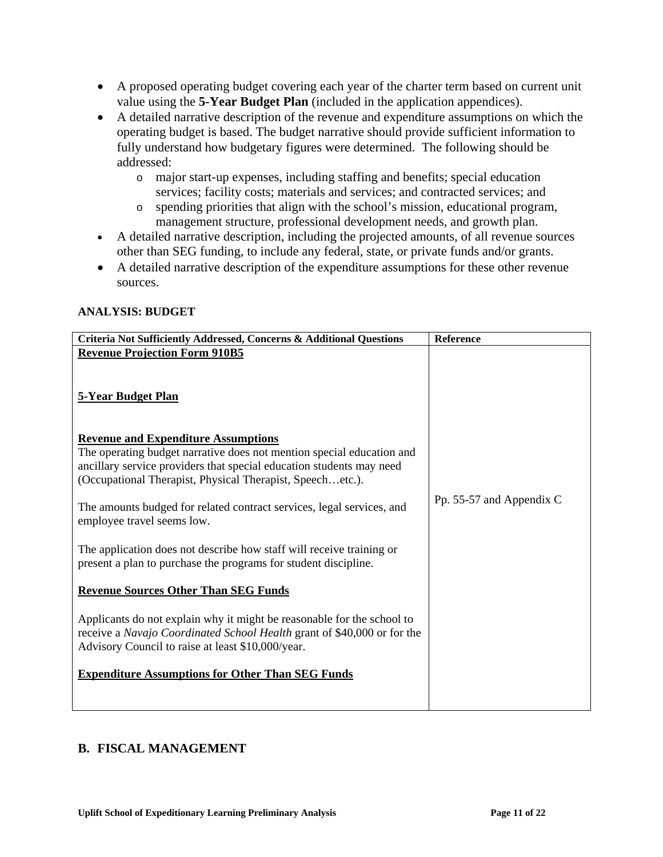- A proposed operating budget covering each year of the charter term based on current unit value using the **5-Year Budget Plan** (included in the application appendices).
- A detailed narrative description of the revenue and expenditure assumptions on which the operating budget is based. The budget narrative should provide sufficient information to fully understand how budgetary figures were determined. The following should be addressed:
	- o major start-up expenses, including staffing and benefits; special education services; facility costs; materials and services; and contracted services; and
	- o spending priorities that align with the school's mission, educational program, management structure, professional development needs, and growth plan.
- A detailed narrative description, including the projected amounts, of all revenue sources other than SEG funding, to include any federal, state, or private funds and/or grants.
- A detailed narrative description of the expenditure assumptions for these other revenue sources.

#### **ANALYSIS: BUDGET**

| Criteria Not Sufficiently Addressed, Concerns & Additional Questions                                                                                                                                   | Reference                |
|--------------------------------------------------------------------------------------------------------------------------------------------------------------------------------------------------------|--------------------------|
| <b>Revenue Projection Form 910B5</b>                                                                                                                                                                   |                          |
| 5-Year Budget Plan                                                                                                                                                                                     |                          |
| <b>Revenue and Expenditure Assumptions</b>                                                                                                                                                             |                          |
| The operating budget narrative does not mention special education and                                                                                                                                  |                          |
| ancillary service providers that special education students may need                                                                                                                                   |                          |
| (Occupational Therapist, Physical Therapist, Speechetc.).                                                                                                                                              |                          |
| The amounts budged for related contract services, legal services, and                                                                                                                                  | Pp. 55-57 and Appendix C |
| employee travel seems low.                                                                                                                                                                             |                          |
| The application does not describe how staff will receive training or<br>present a plan to purchase the programs for student discipline.                                                                |                          |
| <b>Revenue Sources Other Than SEG Funds</b>                                                                                                                                                            |                          |
| Applicants do not explain why it might be reasonable for the school to<br>receive a Navajo Coordinated School Health grant of \$40,000 or for the<br>Advisory Council to raise at least \$10,000/year. |                          |
| <b>Expenditure Assumptions for Other Than SEG Funds</b>                                                                                                                                                |                          |
|                                                                                                                                                                                                        |                          |
|                                                                                                                                                                                                        |                          |

## **B. FISCAL MANAGEMENT**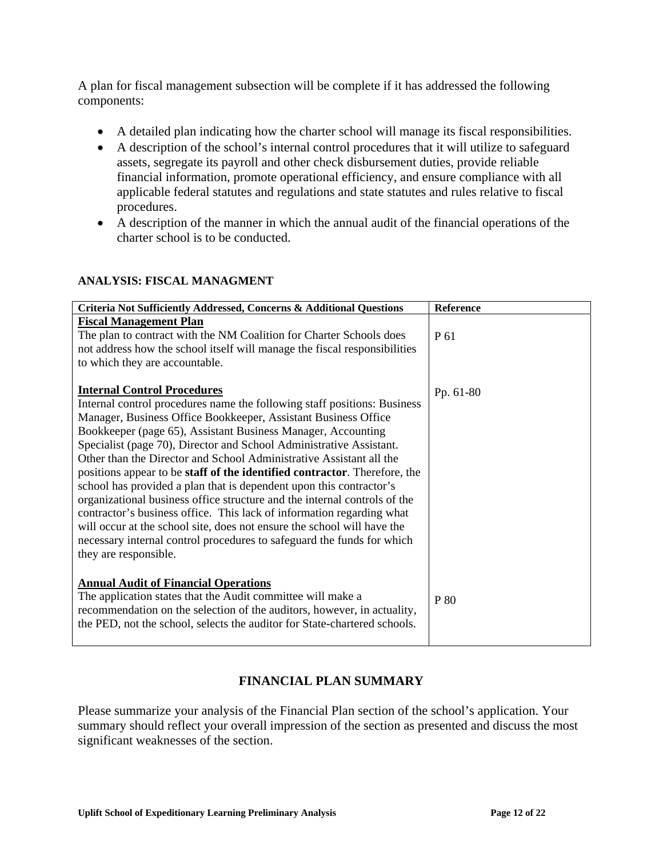A plan for fiscal management subsection will be complete if it has addressed the following components:

- A detailed plan indicating how the charter school will manage its fiscal responsibilities.
- A description of the school's internal control procedures that it will utilize to safeguard assets, segregate its payroll and other check disbursement duties, provide reliable financial information, promote operational efficiency, and ensure compliance with all applicable federal statutes and regulations and state statutes and rules relative to fiscal procedures.
- A description of the manner in which the annual audit of the financial operations of the charter school is to be conducted.

| Criteria Not Sufficiently Addressed, Concerns & Additional Questions      | Reference |
|---------------------------------------------------------------------------|-----------|
| <b>Fiscal Management Plan</b>                                             |           |
| The plan to contract with the NM Coalition for Charter Schools does       | P 61      |
| not address how the school itself will manage the fiscal responsibilities |           |
| to which they are accountable.                                            |           |
|                                                                           |           |
| <b>Internal Control Procedures</b>                                        | Pp. 61-80 |
| Internal control procedures name the following staff positions: Business  |           |
| Manager, Business Office Bookkeeper, Assistant Business Office            |           |
| Bookkeeper (page 65), Assistant Business Manager, Accounting              |           |
| Specialist (page 70), Director and School Administrative Assistant.       |           |
| Other than the Director and School Administrative Assistant all the       |           |
| positions appear to be staff of the identified contractor. Therefore, the |           |
| school has provided a plan that is dependent upon this contractor's       |           |
| organizational business office structure and the internal controls of the |           |
| contractor's business office. This lack of information regarding what     |           |
| will occur at the school site, does not ensure the school will have the   |           |
| necessary internal control procedures to safeguard the funds for which    |           |
| they are responsible.                                                     |           |
|                                                                           |           |
| <b>Annual Audit of Financial Operations</b>                               |           |
| The application states that the Audit committee will make a               | P 80      |
| recommendation on the selection of the auditors, however, in actuality,   |           |
| the PED, not the school, selects the auditor for State-chartered schools. |           |
|                                                                           |           |

#### **ANALYSIS: FISCAL MANAGMENT**

# **FINANCIAL PLAN SUMMARY**

Please summarize your analysis of the Financial Plan section of the school's application. Your summary should reflect your overall impression of the section as presented and discuss the most significant weaknesses of the section.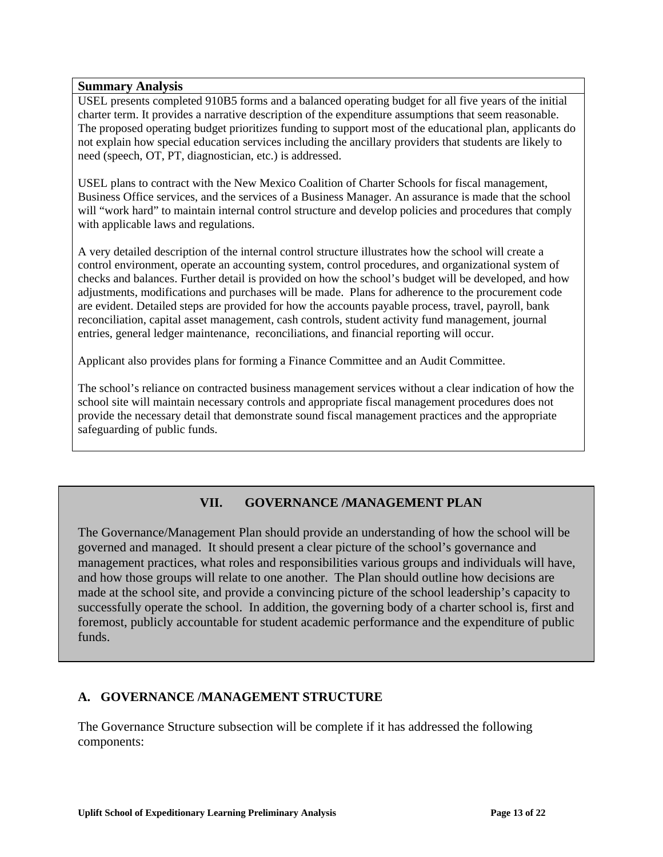#### **Summary Analysis**

USEL presents completed 910B5 forms and a balanced operating budget for all five years of the initial charter term. It provides a narrative description of the expenditure assumptions that seem reasonable. The proposed operating budget prioritizes funding to support most of the educational plan, applicants do not explain how special education services including the ancillary providers that students are likely to need (speech, OT, PT, diagnostician, etc.) is addressed.

USEL plans to contract with the New Mexico Coalition of Charter Schools for fiscal management, Business Office services, and the services of a Business Manager. An assurance is made that the school will "work hard" to maintain internal control structure and develop policies and procedures that comply with applicable laws and regulations.

A very detailed description of the internal control structure illustrates how the school will create a control environment, operate an accounting system, control procedures, and organizational system of checks and balances. Further detail is provided on how the school's budget will be developed, and how adjustments, modifications and purchases will be made. Plans for adherence to the procurement code are evident. Detailed steps are provided for how the accounts payable process, travel, payroll, bank reconciliation, capital asset management, cash controls, student activity fund management, journal entries, general ledger maintenance, reconciliations, and financial reporting will occur.

Applicant also provides plans for forming a Finance Committee and an Audit Committee.

The school's reliance on contracted business management services without a clear indication of how the school site will maintain necessary controls and appropriate fiscal management procedures does not provide the necessary detail that demonstrate sound fiscal management practices and the appropriate safeguarding of public funds.

# **VII. GOVERNANCE /MANAGEMENT PLAN**

The Governance/Management Plan should provide an understanding of how the school will be governed and managed. It should present a clear picture of the school's governance and management practices, what roles and responsibilities various groups and individuals will have, and how those groups will relate to one another. The Plan should outline how decisions are made at the school site, and provide a convincing picture of the school leadership's capacity to successfully operate the school. In addition, the governing body of a charter school is, first and foremost, publicly accountable for student academic performance and the expenditure of public funds.

## **A. GOVERNANCE /MANAGEMENT STRUCTURE**

The Governance Structure subsection will be complete if it has addressed the following components: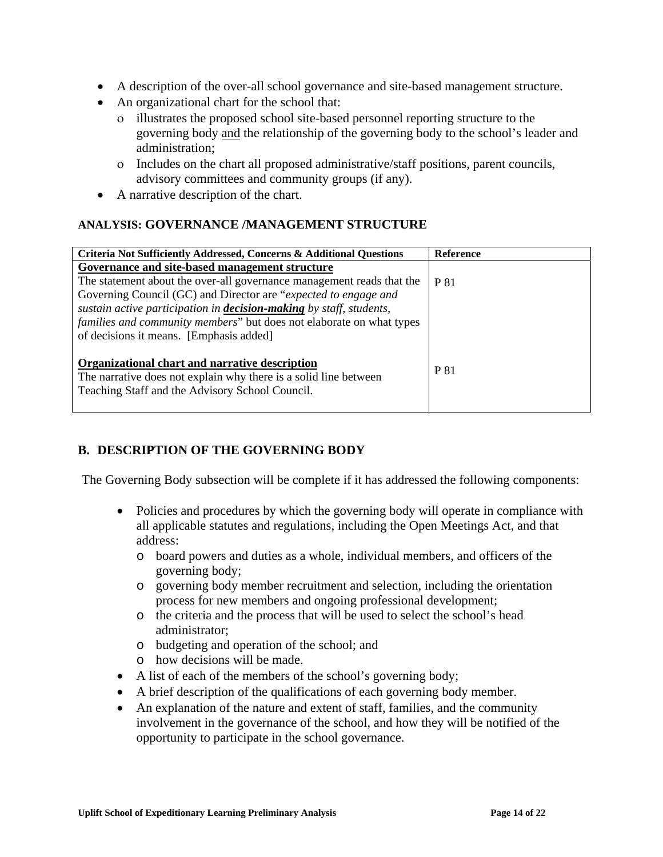- A description of the over-all school governance and site-based management structure.
- An organizational chart for the school that:
	- ο illustrates the proposed school site-based personnel reporting structure to the governing body and the relationship of the governing body to the school's leader and administration;
	- ο Includes on the chart all proposed administrative/staff positions, parent councils, advisory committees and community groups (if any).
- A narrative description of the chart.

## **ANALYSIS: GOVERNANCE /MANAGEMENT STRUCTURE**

| Criteria Not Sufficiently Addressed, Concerns & Additional Questions       | <b>Reference</b> |
|----------------------------------------------------------------------------|------------------|
| Governance and site-based management structure                             |                  |
| The statement about the over-all governance management reads that the      | P 81             |
| Governing Council (GC) and Director are "expected to engage and            |                  |
| sustain active participation in <b>decision-making</b> by staff, students, |                  |
| families and community members" but does not elaborate on what types       |                  |
| of decisions it means. [Emphasis added]                                    |                  |
|                                                                            |                  |
| Organizational chart and narrative description                             | P 81             |
| The narrative does not explain why there is a solid line between           |                  |
| Teaching Staff and the Advisory School Council.                            |                  |
|                                                                            |                  |

# **B. DESCRIPTION OF THE GOVERNING BODY**

The Governing Body subsection will be complete if it has addressed the following components:

- Policies and procedures by which the governing body will operate in compliance with all applicable statutes and regulations, including the Open Meetings Act, and that address:
	- o board powers and duties as a whole, individual members, and officers of the governing body;
	- o governing body member recruitment and selection, including the orientation process for new members and ongoing professional development;
	- o the criteria and the process that will be used to select the school's head administrator;
	- o budgeting and operation of the school; and
	- o how decisions will be made.
- A list of each of the members of the school's governing body;
- A brief description of the qualifications of each governing body member.
- An explanation of the nature and extent of staff, families, and the community involvement in the governance of the school, and how they will be notified of the opportunity to participate in the school governance.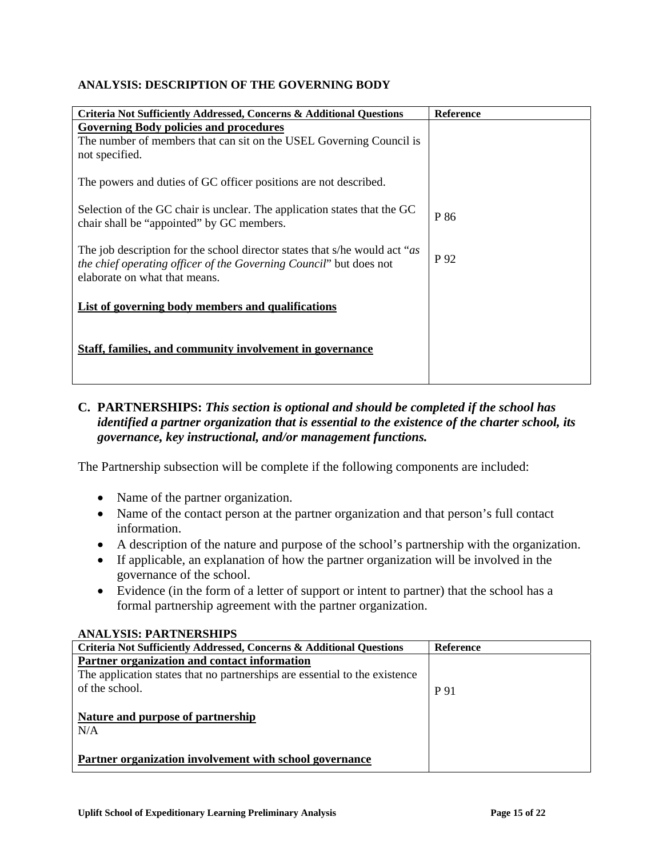#### **ANALYSIS: DESCRIPTION OF THE GOVERNING BODY**

| Criteria Not Sufficiently Addressed, Concerns & Additional Questions                                                                                                                       | <b>Reference</b> |
|--------------------------------------------------------------------------------------------------------------------------------------------------------------------------------------------|------------------|
| <b>Governing Body policies and procedures</b>                                                                                                                                              |                  |
| The number of members that can sit on the USEL Governing Council is<br>not specified.                                                                                                      |                  |
| The powers and duties of GC officer positions are not described.                                                                                                                           |                  |
| Selection of the GC chair is unclear. The application states that the GC<br>chair shall be "appointed" by GC members.                                                                      | P 86             |
| The job description for the school director states that s/he would act "as"<br><i>the chief operating officer of the Governing Council</i> " but does not<br>elaborate on what that means. | P 92             |
| List of governing body members and qualifications                                                                                                                                          |                  |
| Staff, families, and community involvement in governance                                                                                                                                   |                  |

## **C. PARTNERSHIPS:** *This section is optional and should be completed if the school has identified a partner organization that is essential to the existence of the charter school, its governance, key instructional, and/or management functions.*

The Partnership subsection will be complete if the following components are included:

- Name of the partner organization.
- Name of the contact person at the partner organization and that person's full contact information.
- A description of the nature and purpose of the school's partnership with the organization.
- If applicable, an explanation of how the partner organization will be involved in the governance of the school.
- Evidence (in the form of a letter of support or intent to partner) that the school has a formal partnership agreement with the partner organization.

#### **ANALYSIS: PARTNERSHIPS**

| Criteria Not Sufficiently Addressed, Concerns & Additional Questions       | <b>Reference</b> |
|----------------------------------------------------------------------------|------------------|
| Partner organization and contact information                               |                  |
| The application states that no partnerships are essential to the existence |                  |
| of the school.                                                             | P 91             |
|                                                                            |                  |
| Nature and purpose of partnership                                          |                  |
| N/A                                                                        |                  |
|                                                                            |                  |
| Partner organization involvement with school governance                    |                  |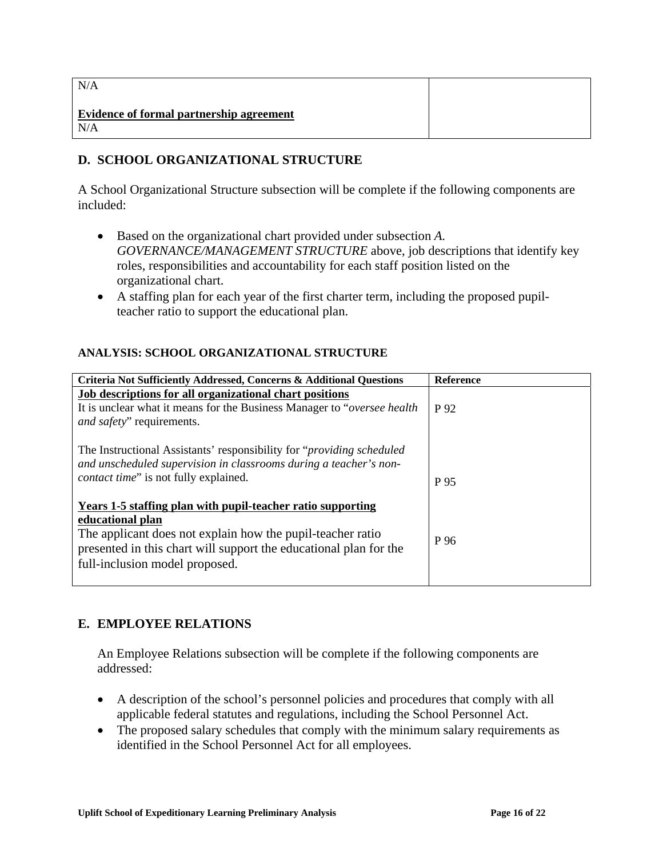| N/A                                             |  |
|-------------------------------------------------|--|
| Evidence of formal partnership agreement<br>N/A |  |

## **D. SCHOOL ORGANIZATIONAL STRUCTURE**

A School Organizational Structure subsection will be complete if the following components are included:

- Based on the organizational chart provided under subsection *A. GOVERNANCE/MANAGEMENT STRUCTURE* above, job descriptions that identify key roles, responsibilities and accountability for each staff position listed on the organizational chart.
- A staffing plan for each year of the first charter term, including the proposed pupilteacher ratio to support the educational plan.

### **ANALYSIS: SCHOOL ORGANIZATIONAL STRUCTURE**

| Criteria Not Sufficiently Addressed, Concerns & Additional Questions                                                                                                                                                                                 | <b>Reference</b> |
|------------------------------------------------------------------------------------------------------------------------------------------------------------------------------------------------------------------------------------------------------|------------------|
| Job descriptions for all organizational chart positions<br>It is unclear what it means for the Business Manager to " <i>oversee health</i> "<br>and safety" requirements.                                                                            | P 92             |
| The Instructional Assistants' responsibility for " <i>providing scheduled</i><br>and unscheduled supervision in classrooms during a teacher's non-<br>contact time" is not fully explained.                                                          | P 95             |
| Years 1-5 staffing plan with pupil-teacher ratio supporting<br>educational plan<br>The applicant does not explain how the pupil-teacher ratio<br>presented in this chart will support the educational plan for the<br>full-inclusion model proposed. | P 96             |

## **E. EMPLOYEE RELATIONS**

An Employee Relations subsection will be complete if the following components are addressed:

- A description of the school's personnel policies and procedures that comply with all applicable federal statutes and regulations, including the School Personnel Act.
- The proposed salary schedules that comply with the minimum salary requirements as identified in the School Personnel Act for all employees.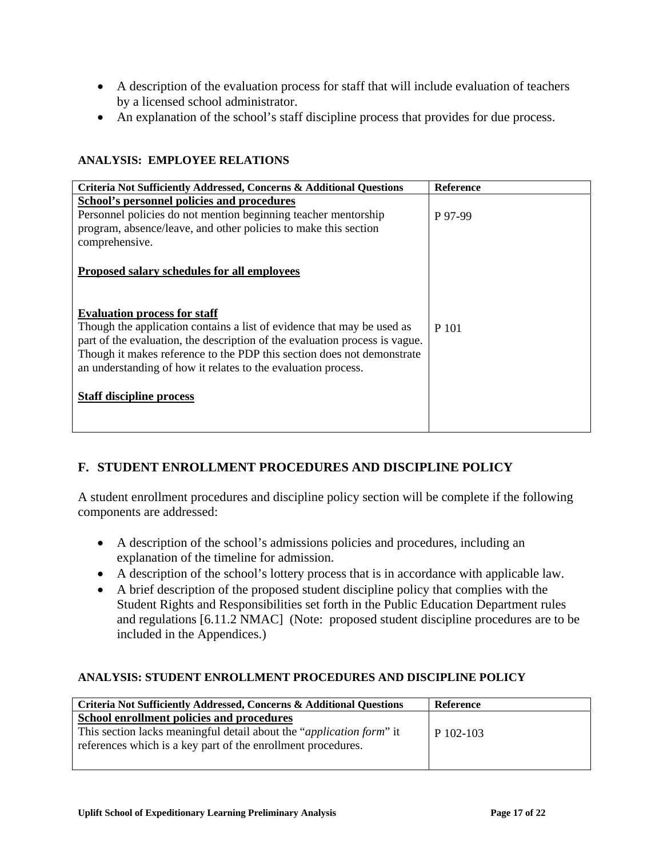- A description of the evaluation process for staff that will include evaluation of teachers by a licensed school administrator.
- An explanation of the school's staff discipline process that provides for due process.

#### **ANALYSIS: EMPLOYEE RELATIONS**

| Criteria Not Sufficiently Addressed, Concerns & Additional Questions        | <b>Reference</b> |
|-----------------------------------------------------------------------------|------------------|
| School's personnel policies and procedures                                  |                  |
| Personnel policies do not mention beginning teacher mentorship              | P 97-99          |
| program, absence/leave, and other policies to make this section             |                  |
| comprehensive.                                                              |                  |
|                                                                             |                  |
| Proposed salary schedules for all employees                                 |                  |
|                                                                             |                  |
|                                                                             |                  |
| <b>Evaluation process for staff</b>                                         |                  |
| Though the application contains a list of evidence that may be used as      | P 101            |
| part of the evaluation, the description of the evaluation process is vague. |                  |
| Though it makes reference to the PDP this section does not demonstrate      |                  |
| an understanding of how it relates to the evaluation process.               |                  |
|                                                                             |                  |
| <b>Staff discipline process</b>                                             |                  |
|                                                                             |                  |
|                                                                             |                  |

# **F. STUDENT ENROLLMENT PROCEDURES AND DISCIPLINE POLICY**

A student enrollment procedures and discipline policy section will be complete if the following components are addressed:

- A description of the school's admissions policies and procedures, including an explanation of the timeline for admission.
- A description of the school's lottery process that is in accordance with applicable law.
- A brief description of the proposed student discipline policy that complies with the Student Rights and Responsibilities set forth in the Public Education Department rules and regulations [6.11.2 NMAC] (Note: proposed student discipline procedures are to be included in the Appendices.)

#### **ANALYSIS: STUDENT ENROLLMENT PROCEDURES AND DISCIPLINE POLICY**

| Criteria Not Sufficiently Addressed, Concerns & Additional Questions          | Reference   |
|-------------------------------------------------------------------------------|-------------|
| School enrollment policies and procedures                                     |             |
| This section lacks meaningful detail about the " <i>application form</i> " it | $P_102-103$ |
| references which is a key part of the enrollment procedures.                  |             |
|                                                                               |             |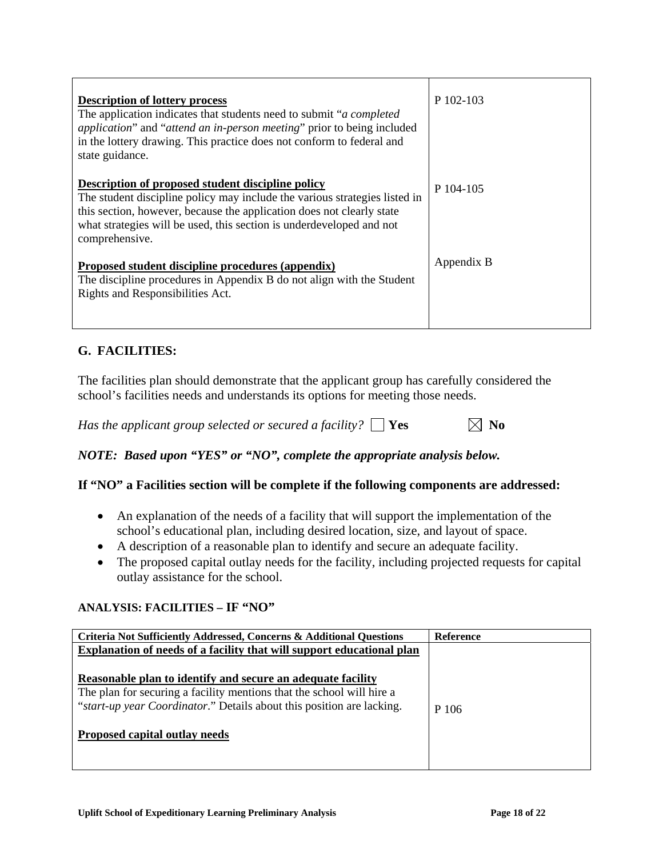| <b>Description of lottery process</b><br>The application indicates that students need to submit " <i>a completed</i><br><i>application</i> " and " <i>attend an in-person meeting</i> " prior to being included<br>in the lottery drawing. This practice does not conform to federal and<br>state guidance. | P 102-103  |
|-------------------------------------------------------------------------------------------------------------------------------------------------------------------------------------------------------------------------------------------------------------------------------------------------------------|------------|
| Description of proposed student discipline policy<br>The student discipline policy may include the various strategies listed in<br>this section, however, because the application does not clearly state<br>what strategies will be used, this section is underdeveloped and not<br>comprehensive.          | P 104-105  |
| Proposed student discipline procedures (appendix)<br>The discipline procedures in Appendix B do not align with the Student<br>Rights and Responsibilities Act.                                                                                                                                              | Appendix B |

# **G. FACILITIES:**

The facilities plan should demonstrate that the applicant group has carefully considered the school's facilities needs and understands its options for meeting those needs.

*Has the applicant group selected or secured a facility?*  $\Box$  **Yes**  $\Box$  **No** 

*NOTE: Based upon "YES" or "NO", complete the appropriate analysis below.* 

## **If "NO" a Facilities section will be complete if the following components are addressed:**

- An explanation of the needs of a facility that will support the implementation of the school's educational plan, including desired location, size, and layout of space.
- A description of a reasonable plan to identify and secure an adequate facility.
- The proposed capital outlay needs for the facility, including projected requests for capital outlay assistance for the school.

#### **ANALYSIS: FACILITIES – IF "NO"**

| Criteria Not Sufficiently Addressed, Concerns & Additional Questions                                                                                                                                                                           | <b>Reference</b> |
|------------------------------------------------------------------------------------------------------------------------------------------------------------------------------------------------------------------------------------------------|------------------|
| Explanation of needs of a facility that will support educational plan                                                                                                                                                                          |                  |
| Reasonable plan to identify and secure an adequate facility<br>The plan for securing a facility mentions that the school will hire a<br>"start-up year Coordinator." Details about this position are lacking.<br>Proposed capital outlay needs | P 106            |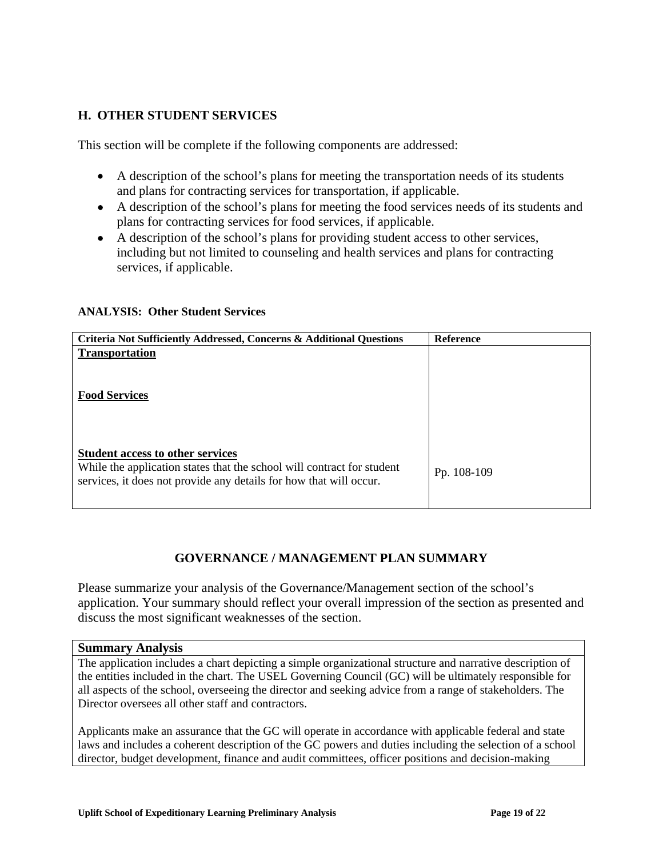## **H. OTHER STUDENT SERVICES**

This section will be complete if the following components are addressed:

- A description of the school's plans for meeting the transportation needs of its students and plans for contracting services for transportation, if applicable.
- A description of the school's plans for meeting the food services needs of its students and plans for contracting services for food services, if applicable.
- A description of the school's plans for providing student access to other services, including but not limited to counseling and health services and plans for contracting services, if applicable.

#### **ANALYSIS: Other Student Services**

| Criteria Not Sufficiently Addressed, Concerns & Additional Questions   | <b>Reference</b> |
|------------------------------------------------------------------------|------------------|
| <b>Transportation</b>                                                  |                  |
|                                                                        |                  |
|                                                                        |                  |
| <b>Food Services</b>                                                   |                  |
|                                                                        |                  |
|                                                                        |                  |
|                                                                        |                  |
| <b>Student access to other services</b>                                |                  |
| While the application states that the school will contract for student | Pp. 108-109      |
| services, it does not provide any details for how that will occur.     |                  |
|                                                                        |                  |
|                                                                        |                  |

## **GOVERNANCE / MANAGEMENT PLAN SUMMARY**

Please summarize your analysis of the Governance/Management section of the school's application. Your summary should reflect your overall impression of the section as presented and discuss the most significant weaknesses of the section.

#### **Summary Analysis**

The application includes a chart depicting a simple organizational structure and narrative description of the entities included in the chart. The USEL Governing Council (GC) will be ultimately responsible for all aspects of the school, overseeing the director and seeking advice from a range of stakeholders. The Director oversees all other staff and contractors.

Applicants make an assurance that the GC will operate in accordance with applicable federal and state laws and includes a coherent description of the GC powers and duties including the selection of a school director, budget development, finance and audit committees, officer positions and decision-making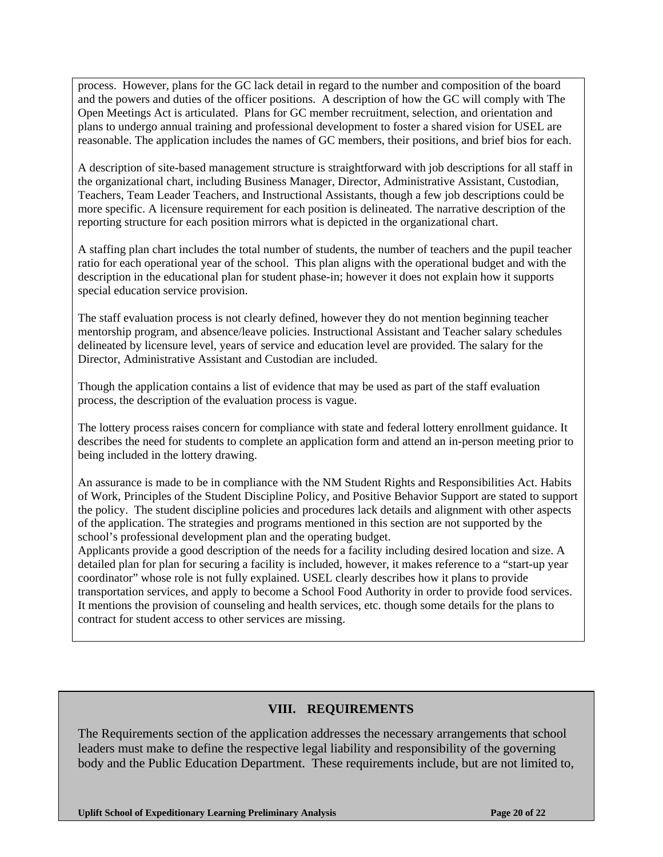process. However, plans for the GC lack detail in regard to the number and composition of the board and the powers and duties of the officer positions. A description of how the GC will comply with The Open Meetings Act is articulated. Plans for GC member recruitment, selection, and orientation and plans to undergo annual training and professional development to foster a shared vision for USEL are reasonable. The application includes the names of GC members, their positions, and brief bios for each.

A description of site-based management structure is straightforward with job descriptions for all staff in the organizational chart, including Business Manager, Director, Administrative Assistant, Custodian, Teachers, Team Leader Teachers, and Instructional Assistants, though a few job descriptions could be more specific. A licensure requirement for each position is delineated. The narrative description of the reporting structure for each position mirrors what is depicted in the organizational chart.

A staffing plan chart includes the total number of students, the number of teachers and the pupil teacher ratio for each operational year of the school. This plan aligns with the operational budget and with the description in the educational plan for student phase-in; however it does not explain how it supports special education service provision.

The staff evaluation process is not clearly defined, however they do not mention beginning teacher mentorship program, and absence/leave policies. Instructional Assistant and Teacher salary schedules delineated by licensure level, years of service and education level are provided. The salary for the Director, Administrative Assistant and Custodian are included.

Though the application contains a list of evidence that may be used as part of the staff evaluation process, the description of the evaluation process is vague.

The lottery process raises concern for compliance with state and federal lottery enrollment guidance. It describes the need for students to complete an application form and attend an in-person meeting prior to being included in the lottery drawing.

An assurance is made to be in compliance with the NM Student Rights and Responsibilities Act. Habits of Work, Principles of the Student Discipline Policy, and Positive Behavior Support are stated to support the policy. The student discipline policies and procedures lack details and alignment with other aspects of the application. The strategies and programs mentioned in this section are not supported by the school's professional development plan and the operating budget.

Applicants provide a good description of the needs for a facility including desired location and size. A detailed plan for plan for securing a facility is included, however, it makes reference to a "start-up year coordinator" whose role is not fully explained. USEL clearly describes how it plans to provide transportation services, and apply to become a School Food Authority in order to provide food services. It mentions the provision of counseling and health services, etc. though some details for the plans to contract for student access to other services are missing.

## **VIII. REQUIREMENTS**

The Requirements section of the application addresses the necessary arrangements that school leaders must make to define the respective legal liability and responsibility of the governing body and the Public Education Department. These requirements include, but are not limited to,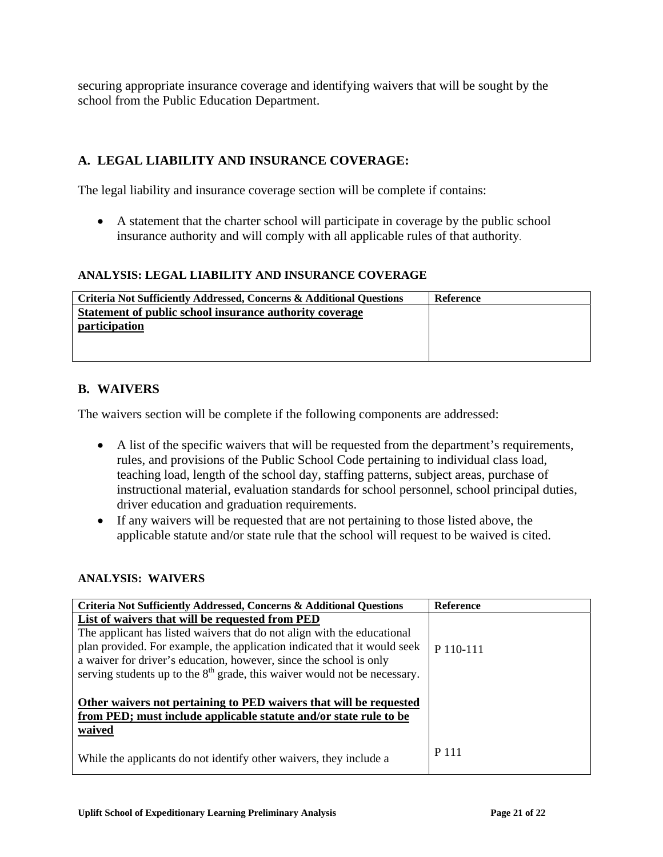securing appropriate insurance coverage and identifying waivers that will be sought by the school from the Public Education Department.

# **A. LEGAL LIABILITY AND INSURANCE COVERAGE:**

The legal liability and insurance coverage section will be complete if contains:

• A statement that the charter school will participate in coverage by the public school insurance authority and will comply with all applicable rules of that authority.

#### **ANALYSIS: LEGAL LIABILITY AND INSURANCE COVERAGE**

| Criteria Not Sufficiently Addressed, Concerns & Additional Questions | Reference |
|----------------------------------------------------------------------|-----------|
| Statement of public school insurance authority coverage              |           |
| <i>participation</i>                                                 |           |
|                                                                      |           |
|                                                                      |           |

### **B. WAIVERS**

The waivers section will be complete if the following components are addressed:

- A list of the specific waivers that will be requested from the department's requirements, rules, and provisions of the Public School Code pertaining to individual class load, teaching load, length of the school day, staffing patterns, subject areas, purchase of instructional material, evaluation standards for school personnel, school principal duties, driver education and graduation requirements.
- If any waivers will be requested that are not pertaining to those listed above, the applicable statute and/or state rule that the school will request to be waived is cited.

#### **ANALYSIS: WAIVERS**

| Criteria Not Sufficiently Addressed, Concerns & Additional Questions                                                                                                                                                                                                                                     | <b>Reference</b> |
|----------------------------------------------------------------------------------------------------------------------------------------------------------------------------------------------------------------------------------------------------------------------------------------------------------|------------------|
| List of waivers that will be requested from PED                                                                                                                                                                                                                                                          |                  |
| The applicant has listed waivers that do not align with the educational<br>plan provided. For example, the application indicated that it would seek<br>a waiver for driver's education, however, since the school is only<br>serving students up to the $8th$ grade, this waiver would not be necessary. | P 110-111        |
| Other waivers not pertaining to PED waivers that will be requested<br>from PED; must include applicable statute and/or state rule to be<br>waived                                                                                                                                                        |                  |
| While the applicants do not identify other waivers, they include a                                                                                                                                                                                                                                       | P 111            |